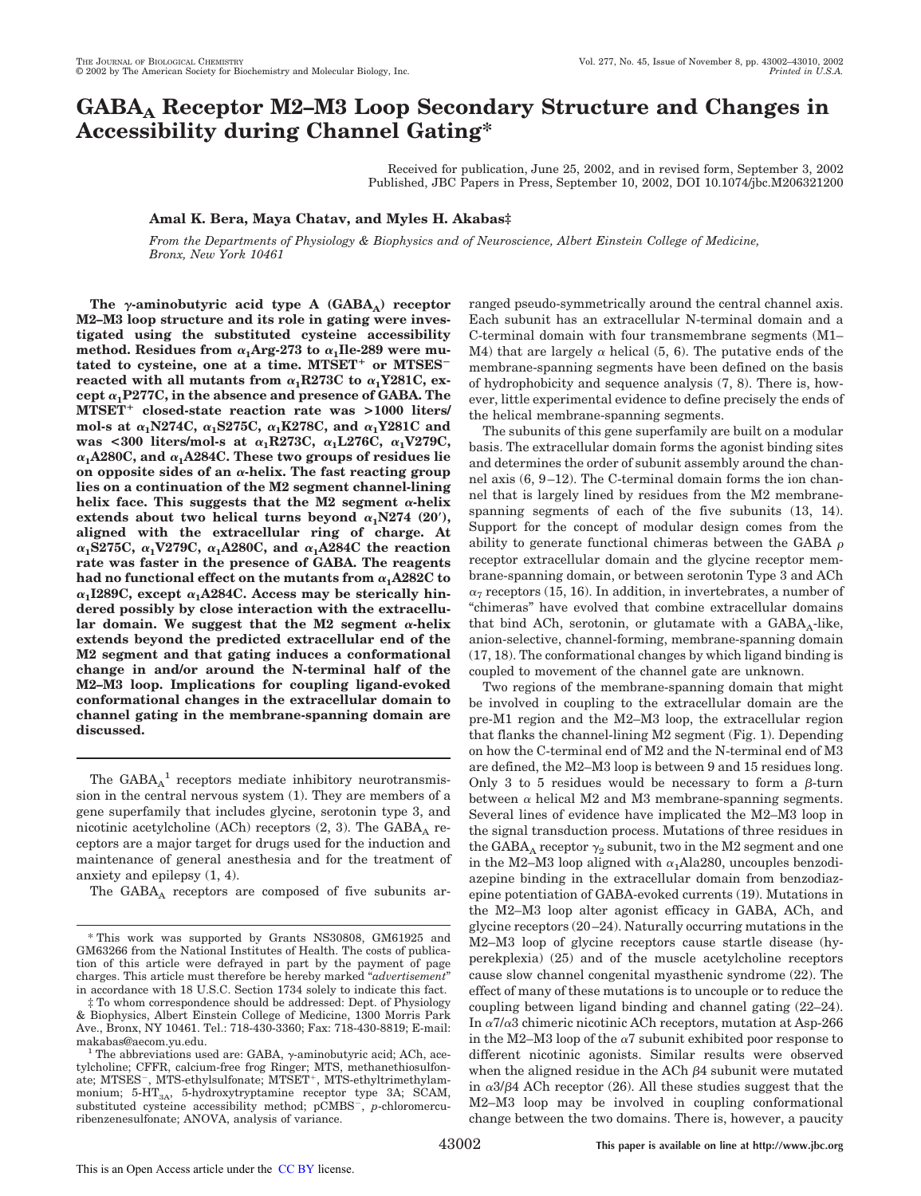# **GABA<sup>A</sup> Receptor M2–M3 Loop Secondary Structure and Changes in Accessibility during Channel Gating\***

Received for publication, June 25, 2002, and in revised form, September 3, 2002 Published, JBC Papers in Press, September 10, 2002, DOI 10.1074/jbc.M206321200

## **Amal K. Bera, Maya Chatav, and Myles H. Akabas‡**

*From the Departments of Physiology & Biophysics and of Neuroscience, Albert Einstein College of Medicine, Bronx, New York 10461*

The  $\gamma$ -aminobutyric acid type A (GABA<sub>A</sub>) receptor **M2–M3 loop structure and its role in gating were investigated using the substituted cysteine accessibility** method. Residues from  $\alpha_1$ Arg-273 to  $\alpha_1$ Ile-289 were mutated to cysteine, one at a time. MTSET<sup>+</sup> or MTSES<sup>-</sup>  $\textbf{r}$ eacted with all mutants from  $\alpha_1 \text{R}273\text{C}$  to  $\alpha_1 \text{Y}281\text{C}$ , ex- $\text{cept } \alpha_1\text{P277C}, \text{in the absence and presence of GABA. The}$ **MTSET closed-state reaction rate was >1000 liters/** mol-s at  $\alpha_1$ N274C,  $\alpha_1$ S275C,  $\alpha_1$ K278C, and  $\alpha_1$ Y281C and was <300 liters/mol-s at  $\alpha_1$ R273C,  $\alpha_1$ L276C,  $\alpha_1$ V279C,  $\alpha_1$ A280C, and  $\alpha_1$ A284C. These two groups of residues lie **on opposite sides of an α-helix. The fast reacting group lies on a continuation of the M2 segment channel-lining** helix face. This suggests that the M2 segment  $\alpha$ -helix extends about two helical turns beyond  $\alpha_1$ N274 (20<sup>'</sup>), **aligned with the extracellular ring of charge. At**  $\alpha_1$ S275C,  $\alpha_1$ V279C,  $\alpha_1$ A280C, and  $\alpha_1$ A284C the reaction **rate was faster in the presence of GABA. The reagents**  $\mathbf{h}$  ad no functional effect on the mutants from  $\alpha_1$ A282C to  $\alpha_1$ I289C, except  $\alpha_1$ A284C. Access may be sterically hin**dered possibly by close interaction with the extracellu-** $\lambda$  domain. We suggest that the M2 segment  $\alpha$ -helix **extends beyond the predicted extracellular end of the M2 segment and that gating induces a conformational change in and/or around the N-terminal half of the M2–M3 loop. Implications for coupling ligand-evoked conformational changes in the extracellular domain to channel gating in the membrane-spanning domain are discussed.**

The  $GABA_A^{-1}$  receptors mediate inhibitory neurotransmission in the central nervous system (1). They are members of a gene superfamily that includes glycine, serotonin type 3, and nicotinic acetylcholine (ACh) receptors  $(2, 3)$ . The  $GABA_A$  receptors are a major target for drugs used for the induction and maintenance of general anesthesia and for the treatment of anxiety and epilepsy (1, 4).

The  $GABA_A$  receptors are composed of five subunits ar-

ranged pseudo-symmetrically around the central channel axis. Each subunit has an extracellular N-terminal domain and a C-terminal domain with four transmembrane segments (M1– M4) that are largely  $\alpha$  helical (5, 6). The putative ends of the membrane-spanning segments have been defined on the basis of hydrophobicity and sequence analysis (7, 8). There is, however, little experimental evidence to define precisely the ends of the helical membrane-spanning segments.

The subunits of this gene superfamily are built on a modular basis. The extracellular domain forms the agonist binding sites and determines the order of subunit assembly around the channel axis (6, 9–12). The C-terminal domain forms the ion channel that is largely lined by residues from the M2 membranespanning segments of each of the five subunits (13, 14). Support for the concept of modular design comes from the ability to generate functional chimeras between the GABA  $\rho$ receptor extracellular domain and the glycine receptor membrane-spanning domain, or between serotonin Type 3 and ACh  $\alpha_7$  receptors (15, 16). In addition, in invertebrates, a number of "chimeras" have evolved that combine extracellular domains that bind ACh, serotonin, or glutamate with a  $\text{GABA}_\text{A}\text{-like},$ anion-selective, channel-forming, membrane-spanning domain (17, 18). The conformational changes by which ligand binding is coupled to movement of the channel gate are unknown.

Two regions of the membrane-spanning domain that might be involved in coupling to the extracellular domain are the pre-M1 region and the M2–M3 loop, the extracellular region that flanks the channel-lining M2 segment (Fig. 1). Depending on how the C-terminal end of M2 and the N-terminal end of M3 are defined, the M2–M3 loop is between 9 and 15 residues long. Only 3 to 5 residues would be necessary to form a  $\beta$ -turn between  $\alpha$  helical M2 and M3 membrane-spanning segments. Several lines of evidence have implicated the M2–M3 loop in the signal transduction process. Mutations of three residues in the GABA<sub>A</sub> receptor  $\gamma_2$  subunit, two in the M2 segment and one in the M2–M3 loop aligned with  $\alpha_1$ Ala280, uncouples benzodiazepine binding in the extracellular domain from benzodiazepine potentiation of GABA-evoked currents (19). Mutations in the M2–M3 loop alter agonist efficacy in GABA, ACh, and glycine receptors (20–24). Naturally occurring mutations in the M2–M3 loop of glycine receptors cause startle disease (hyperekplexia) (25) and of the muscle acetylcholine receptors cause slow channel congenital myasthenic syndrome (22). The effect of many of these mutations is to uncouple or to reduce the coupling between ligand binding and channel gating (22–24). In  $\alpha$ 7/ $\alpha$ 3 chimeric nicotinic ACh receptors, mutation at Asp-266 in the M2–M3 loop of the  $\alpha$ 7 subunit exhibited poor response to different nicotinic agonists. Similar results were observed when the aligned residue in the ACh  $\beta$ 4 subunit were mutated in  $\alpha$ 3/ $\beta$ 4 ACh receptor (26). All these studies suggest that the M2–M3 loop may be involved in coupling conformational change between the two domains. There is, however, a paucity

<sup>\*</sup> This work was supported by Grants NS30808, GM61925 and GM63266 from the National Institutes of Health. The costs of publication of this article were defrayed in part by the payment of page charges. This article must therefore be hereby marked "*advertisement*" in accordance with 18 U.S.C. Section 1734 solely to indicate this fact.

To whom correspondence should be addressed: Dept. of Physiology & Biophysics, Albert Einstein College of Medicine, 1300 Morris Park Ave., Bronx, NY 10461. Tel.: 718-430-3360; Fax: 718-430-8819; E-mail: makabas@aecom.yu.edu.

 $1$ <sup>1</sup> The abbreviations used are: GABA,  $\gamma$ -aminobutyric acid; ACh, acetylcholine; CFFR, calcium-free frog Ringer; MTS, methanethiosulfonate; MTSES<sup>-</sup>, MTS-ethylsulfonate; MTSET<sup>+</sup>, MTS-ethyltrimethylammonium; 5-HT<sub>3A</sub>, 5-hydroxytryptamine receptor type 3A; SCAM, substituted cysteine accessibility method; pCMBS<sup>-</sup>, p-chloromercuribenzenesulfonate; ANOVA, analysis of variance.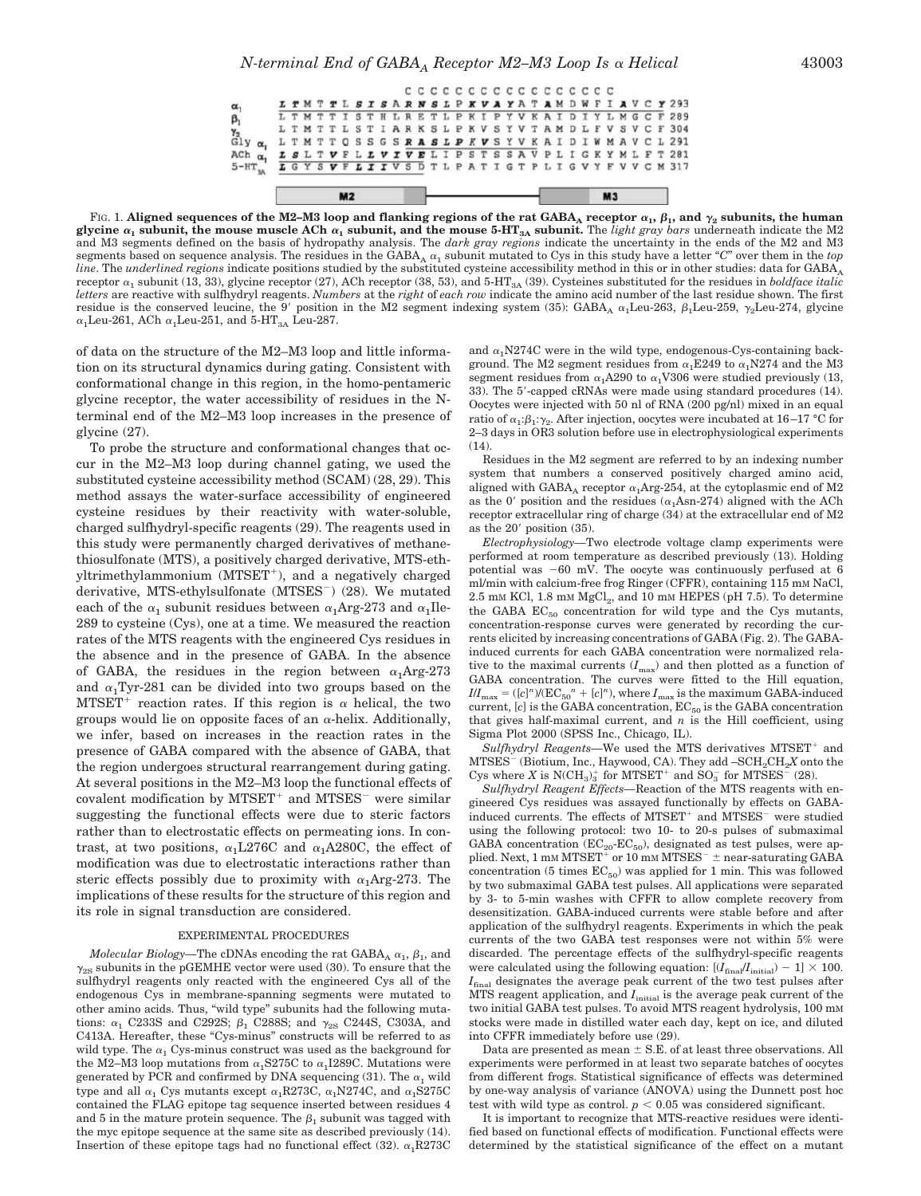Fig. 1. Aligned sequences of the M2–M3 loop and flanking regions of the rat GABA<sub>A</sub> receptor  $\alpha_1,\beta_1,$  and  $\gamma_2$  subunits, the human glycine  $\alpha_1$  subunit, the mouse muscle ACh  $\alpha_1$  subunit, and the mouse 5-HT<sub>3A</sub> subunit. The *light gray bars* underneath indicate the M2 and M3 segments defined on the basis of hydropathy analysis. The *dark gray regions* indicate the uncertainty in the ends of the M2 and M3 segments based on sequence analysis. The residues in the GABA<sub>A</sub>  $\alpha_1$  subunit mutated to Cys in this study have a letter "C" over them in the *top line*. The *underlined regions* indicate positions studied by the substituted cysteine accessibility method in this or in other studies: data for GABA<sub>A</sub> receptor  $\alpha_1$  subunit (13, 33), glycine receptor (27), ACh receptor (38, 53), and 5-HT<sub>3A</sub> (39). Cysteines substituted for the residues in *boldface italic letters* are reactive with sulfhydryl reagents. *Numbers* at the *right* of *each row* indicate the amino acid number of the last residue shown. The first residue is the conserved leucine, the  $9'$  position in the M2 segment indexing system (35): GABA<sub>A</sub>  $\alpha_1$ Leu-263,  $\beta_1$ Leu-259,  $\gamma_2$ Leu-274, glycine  $\alpha_1$ Leu-261, ACh $\alpha_1$ Leu-251, and 5-HT $_{3\mathrm{A}}$  Leu-287.

of data on the structure of the M2–M3 loop and little information on its structural dynamics during gating. Consistent with conformational change in this region, in the homo-pentameric glycine receptor, the water accessibility of residues in the Nterminal end of the M2–M3 loop increases in the presence of glycine (27).

 $\alpha$ 

 $\beta_1$ 

γ<sub>2</sub><br>Gly α<sub>1</sub>

 $A$ Ch  $\alpha$ <sub>1</sub>

 $5 - HT$ <sub>38</sub>

 $M<sub>2</sub>$ 

To probe the structure and conformational changes that occur in the M2–M3 loop during channel gating, we used the substituted cysteine accessibility method (SCAM) (28, 29). This method assays the water-surface accessibility of engineered cysteine residues by their reactivity with water-soluble, charged sulfhydryl-specific reagents (29). The reagents used in this study were permanently charged derivatives of methanethiosulfonate (MTS), a positively charged derivative, MTS-ethyltrimethylammonium (MTSET- ), and a negatively charged derivative, MTS-ethylsulfonate (MTSES ) (28). We mutated each of the  $\alpha_1$  subunit residues between  $\alpha_1$ Arg-273 and  $\alpha_1$ Ile-289 to cysteine (Cys), one at a time. We measured the reaction rates of the MTS reagents with the engineered Cys residues in the absence and in the presence of GABA. In the absence of GABA, the residues in the region between  $\alpha_1$ Arg-273 and  $\alpha_1$ Tyr-281 can be divided into two groups based on the  $MTSET^+$  reaction rates. If this region is  $\alpha$  helical, the two groups would lie on opposite faces of an  $\alpha$ -helix. Additionally, we infer, based on increases in the reaction rates in the presence of GABA compared with the absence of GABA, that the region undergoes structural rearrangement during gating. At several positions in the M2–M3 loop the functional effects of covalent modification by MTSET<sup>+</sup> and MTSES<sup>-</sup> were similar suggesting the functional effects were due to steric factors rather than to electrostatic effects on permeating ions. In contrast, at two positions,  $\alpha_1$ L276C and  $\alpha_1$ A280C, the effect of modification was due to electrostatic interactions rather than steric effects possibly due to proximity with  $\alpha_1$ Arg-273. The implications of these results for the structure of this region and its role in signal transduction are considered.

#### EXPERIMENTAL PROCEDURES

 $Molecular\ Biology$ —The cDNAs encoding the rat  $\mathrm{GABA_A}\ \alpha_1,\, \beta_1,$  and  $\gamma_{2S}$  subunits in the pGEMHE vector were used (30). To ensure that the sulfhydryl reagents only reacted with the engineered Cys all of the endogenous Cys in membrane-spanning segments were mutated to other amino acids. Thus, "wild type" subunits had the following mutations:  $\alpha_1$  C233S and C292S;  $\beta_1$  C288S; and  $\gamma_{2S}$  C244S, C303A, and C413A. Hereafter, these "Cys-minus" constructs will be referred to as wild type. The  $\alpha_1$  Cys-minus construct was used as the background for the M2–M3 loop mutations from  $\alpha_1$ S275C to  $\alpha_1$ I289C. Mutations were generated by PCR and confirmed by DNA sequencing (31). The  $\alpha_1$  wild type and all  $\alpha_1$  Cys mutants except  $\alpha_1$ R273C,  $\alpha_1$ N274C, and  $\alpha_1$ S275C contained the FLAG epitope tag sequence inserted between residues 4 and 5 in the mature protein sequence. The  $\beta_1$  subunit was tagged with the myc epitope sequence at the same site as described previously (14). Insertion of these epitope tags had no functional effect (32).  $\alpha$ , R273C

and  $\alpha_1$ N274C were in the wild type, endogenous-Cys-containing background. The M2 segment residues from  $\alpha_1$ E249 to  $\alpha_1$ N274 and the M3 segment residues from  $\alpha_1$ A290 to  $\alpha_1$ V306 were studied previously (13, 33). The 5-capped cRNAs were made using standard procedures (14). Oocytes were injected with 50 nl of RNA (200 pg/nl) mixed in an equal ratio of  $\alpha_1:\beta_1:\gamma_2$ . After injection, oocytes were incubated at 16–17 °C for 2–3 days in OR3 solution before use in electrophysiological experiments  $(14)$ .

 $M<sub>3</sub>$ 

Residues in the M2 segment are referred to by an indexing number system that numbers a conserved positively charged amino acid, aligned with GABA<sub>A</sub> receptor  $\alpha_1$ Arg-254, at the cytoplasmic end of M2 as the 0' position and the residues ( $\alpha_1$ Asn-274) aligned with the ACh receptor extracellular ring of charge (34) at the extracellular end of M2 as the  $20'$  position  $(35)$ .

*Electrophysiology—*Two electrode voltage clamp experiments were performed at room temperature as described previously (13). Holding potential was  $-60$  mV. The oocyte was continuously perfused at 6 ml/min with calcium-free frog Ringer (CFFR), containing 115 mM NaCl,  $2.5\ \mathrm{mm}$  KCl,  $1.8\ \mathrm{mm}$  MgCl $_2$ , and  $10\ \mathrm{mm}$  HEPES (pH 7.5). To determine the GABA  $EC_{50}$  concentration for wild type and the Cys mutants, concentration-response curves were generated by recording the currents elicited by increasing concentrations of GABA (Fig. 2). The GABAinduced currents for each GABA concentration were normalized relative to the maximal currents  $(I_{\text{max}})$  and then plotted as a function of GABA concentration. The curves were fitted to the Hill equation,  $I/I_{\text{max}} = ([c]^n)/(\text{EC}_{50}^n + [c]^n)$ , where  $I_{\text{max}}$  is the maximum GABA-induced current, [*c*] is the GABA concentration,  $EC_{50}$  is the GABA concentration that gives half-maximal current, and  $n$  is the Hill coefficient, using Sigma Plot 2000 (SPSS Inc., Chicago, IL).

Sulfhydryl Reagents—We used the MTS derivatives MTSET<sup>+</sup> and MTSES (Biotium, Inc., Haywood, CA). They add –SCH2CH2*X* onto the Cys where X is  $N(CH_3)_3^+$  for MTSET<sup>+</sup> and  $SO_3^-$  for MTSES<sup>-</sup> (28).

*Sulfhydryl Reagent Effects—*Reaction of the MTS reagents with engineered Cys residues was assayed functionally by effects on GABAinduced currents. The effects of MTSET<sup>+</sup> and MTSES<sup>-</sup> were studied using the following protocol: two 10- to 20-s pulses of submaximal GABA concentration ( $EC_{20}$ - $EC_{50}$ ), designated as test pulses, were applied. Next, 1 mm MTSET<sup>+</sup> or 10 mm MTSES<sup>-</sup>  $\pm$  near-saturating GABA concentration (5 times  $\mathrm{EC}_{50}$  was applied for 1 min. This was followed by two submaximal GABA test pulses. All applications were separated by 3- to 5-min washes with CFFR to allow complete recovery from desensitization. GABA-induced currents were stable before and after application of the sulfhydryl reagents. Experiments in which the peak currents of the two GABA test responses were not within 5% were discarded. The percentage effects of the sulfhydryl-specific reagents were calculated using the following equation:  $[(I_{\text{final}}/I_{\text{initial}}) - 1] \times 100$ .  $I_{\text{final}}$  designates the average peak current of the two test pulses after MTS reagent application, and  $I<sub>initial</sub>$  is the average peak current of the two initial GABA test pulses. To avoid MTS reagent hydrolysis, 100 mM stocks were made in distilled water each day, kept on ice, and diluted into CFFR immediately before use (29).

Data are presented as mean  $\pm$  S.E. of at least three observations. All experiments were performed in at least two separate batches of oocytes from different frogs. Statistical significance of effects was determined by one-way analysis of variance (ANOVA) using the Dunnett post hoc test with wild type as control.  $p < 0.05$  was considered significant.

It is important to recognize that MTS-reactive residues were identified based on functional effects of modification. Functional effects were determined by the statistical significance of the effect on a mutant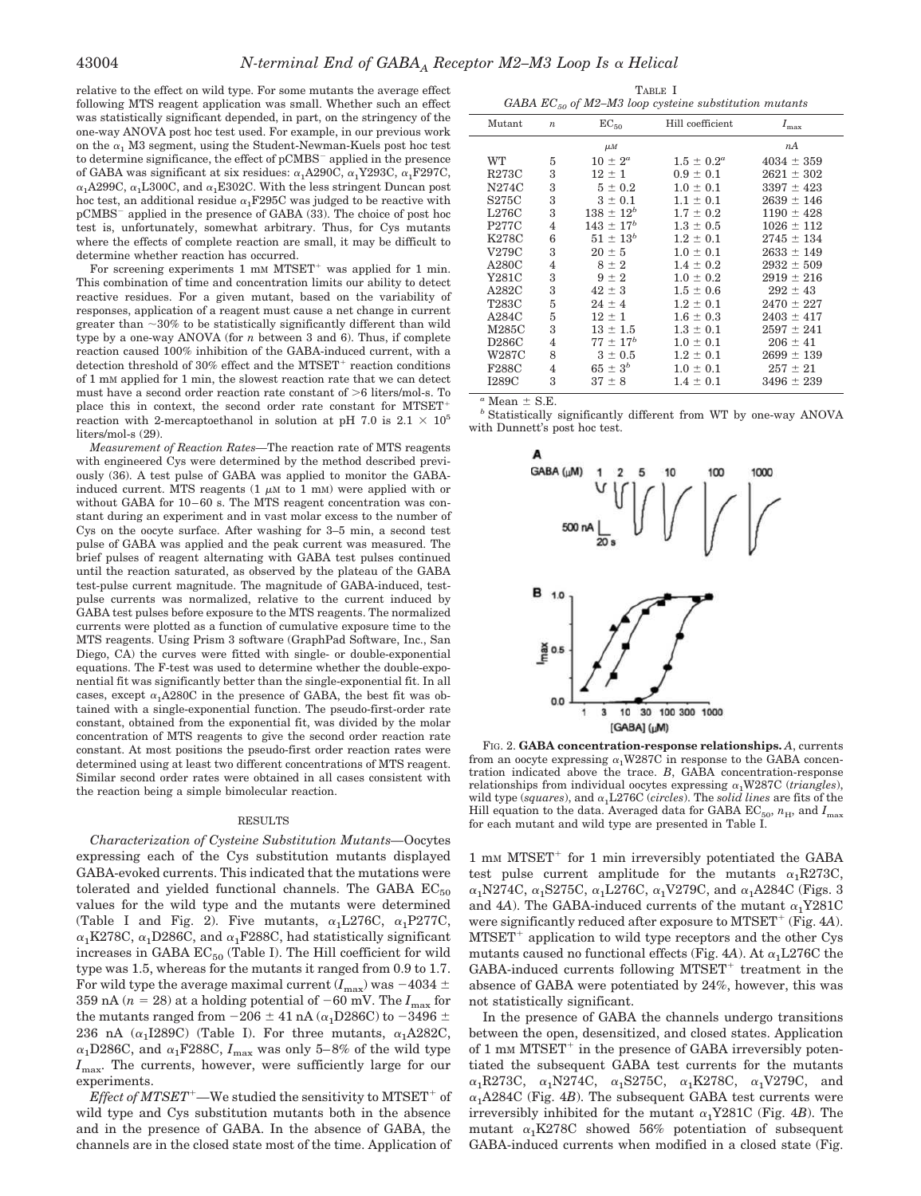relative to the effect on wild type. For some mutants the average effect following MTS reagent application was small. Whether such an effect was statistically significant depended, in part, on the stringency of the one-way ANOVA post hoc test used. For example, in our previous work on the  $\alpha_1$  M3 segment, using the Student-Newman-Kuels post hoc test to determine significance, the effect of pCMBS applied in the presence of GABA was significant at six residues:  $\alpha_1$ A290C,  $\alpha_1$ Y293C,  $\alpha_1$ F297C,  $\alpha_1$ A299C,  $\alpha_1$ L300C, and  $\alpha_1$ E302C. With the less stringent Duncan post hoc test, an additional residue  $\alpha_1$ F295C was judged to be reactive with pCMBS applied in the presence of GABA (33). The choice of post hoc test is, unfortunately, somewhat arbitrary. Thus, for Cys mutants where the effects of complete reaction are small, it may be difficult to determine whether reaction has occurred.

For screening experiments  $1 \text{ mm}$  MTSET<sup>+</sup> was applied for  $1 \text{ min}$ . This combination of time and concentration limits our ability to detect reactive residues. For a given mutant, based on the variability of responses, application of a reagent must cause a net change in current greater than  $\sim$ 30% to be statistically significantly different than wild type by a one-way ANOVA (for *n* between 3 and 6). Thus, if complete reaction caused 100% inhibition of the GABA-induced current, with a detection threshold of  $30\%$  effect and the MTSET<sup>+</sup> reaction conditions of 1 mM applied for 1 min, the slowest reaction rate that we can detect must have a second order reaction rate constant of  $>6$  liters/mol-s. To place this in context, the second order rate constant for MTSETreaction with 2-mercaptoethanol in solution at pH 7.0 is 2.1  $\times$   $10^5$ liters/mol-s (29).

*Measurement of Reaction Rates—*The reaction rate of MTS reagents with engineered Cys were determined by the method described previously (36). A test pulse of GABA was applied to monitor the GABAinduced current. MTS reagents  $(1 \mu M)$  to  $1 \mu M$ ) were applied with or without GABA for 10–60 s. The MTS reagent concentration was constant during an experiment and in vast molar excess to the number of Cys on the oocyte surface. After washing for 3–5 min, a second test pulse of GABA was applied and the peak current was measured. The brief pulses of reagent alternating with GABA test pulses continued until the reaction saturated, as observed by the plateau of the GABA test-pulse current magnitude. The magnitude of GABA-induced, testpulse currents was normalized, relative to the current induced by GABA test pulses before exposure to the MTS reagents. The normalized currents were plotted as a function of cumulative exposure time to the MTS reagents. Using Prism 3 software (GraphPad Software, Inc., San Diego, CA) the curves were fitted with single- or double-exponential equations. The F-test was used to determine whether the double-exponential fit was significantly better than the single-exponential fit. In all cases, except  $\alpha_1$ A280C in the presence of GABA, the best fit was obtained with a single-exponential function. The pseudo-first-order rate constant, obtained from the exponential fit, was divided by the molar concentration of MTS reagents to give the second order reaction rate constant. At most positions the pseudo-first order reaction rates were determined using at least two different concentrations of MTS reagent. Similar second order rates were obtained in all cases consistent with the reaction being a simple bimolecular reaction.

#### RESULTS

*Characterization of Cysteine Substitution Mutants—*Oocytes expressing each of the Cys substitution mutants displayed GABA-evoked currents. This indicated that the mutations were tolerated and yielded functional channels. The GABA  $EC_{50}$ values for the wild type and the mutants were determined (Table I and Fig. 2). Five mutants,  $\alpha_1$ L276C,  $\alpha_1$ P277C,  $\alpha_1$ K278C,  $\alpha_1$ D286C, and  $\alpha_1$ F288C, had statistically significant increases in GABA  $EC_{50}$  (Table I). The Hill coefficient for wild type was 1.5, whereas for the mutants it ranged from 0.9 to 1.7. For wild type the average maximal current  $(I_{\text{max}})$  was  $-4034 \pm 10^{12}$ 359 nA ( $n = 28$ ) at a holding potential of -60 mV. The  $I_{\text{max}}$  for the mutants ranged from  $-206 \pm 41$  nA ( $\alpha_1$ D286C) to  $-3496 \pm 1$ 236 nA  $(\alpha_1 I289C)$  (Table I). For three mutants,  $\alpha_1 A282C$ ,  $\alpha_1$ D286C, and  $\alpha_1$  F288C,  $I_{\rm max}$  was only 5–8% of the wild type *I*<sub>max</sub>. The currents, however, were sufficiently large for our experiments.

*.<br>Effect of MTSET* <sup>+</sup>—We studied the sensitivity to MTSET <sup>+</sup> of wild type and Cys substitution mutants both in the absence and in the presence of GABA. In the absence of GABA, the channels are in the closed state most of the time. Application of

| TABLE I |                                                            |  |  |  |  |  |  |
|---------|------------------------------------------------------------|--|--|--|--|--|--|
|         | GABA $EC_{50}$ of M2–M3 loop cysteine substitution mutants |  |  |  |  |  |  |

|              | - 50 - 1         |                  |                  |                |
|--------------|------------------|------------------|------------------|----------------|
| Mutant       | $\boldsymbol{n}$ | $EC_{50}$        | Hill coefficient | $I_{\max}$     |
|              |                  | $\mu$ <i>M</i>   |                  | nA             |
| WT           | 5                | $10 \pm 2^a$     | $1.5 \pm 0.2^a$  | $4034 \pm 359$ |
| <b>R273C</b> | 3                | $12 \pm 1$       | $0.9 \pm 0.1$    | $2621 \pm 302$ |
| N274C        | 3                | $5 \pm 0.2$      | $1.0 \pm 0.1$    | $3397 \pm 423$ |
| S275C        | 3                | $3 \pm 0.1$      | $1.1 \pm 0.1$    | $2639 \pm 146$ |
| L276C        | 3                | $138 \pm 12^b$   | $1.7 \pm 0.2$    | $1190 \pm 428$ |
| <b>P277C</b> | 4                | $143 \pm 17^{b}$ | $1.3 \pm 0.5$    | $1026 \pm 112$ |
| K278C        | 6                | $51 \pm 13^{b}$  | $1.2 \pm 0.1$    | $2745 \pm 134$ |
| V279C        | 3                | $20 \pm 5$       | $1.0 \pm 0.1$    | $2633 \pm 149$ |
| A280C        | 4                | $8 \pm 2$        | $1.4 \pm 0.2$    | $2932 \pm 509$ |
| Y281C        | 3                | $9 \pm 2$        | $1.0 \pm 0.2$    | $2919 \pm 216$ |
| A282C        | 3                | $42 \pm 3$       | $1.5 \pm 0.6$    | $292 \pm 43$   |
| <b>T283C</b> | 5                | $24 \pm 4$       | $1.2 \pm 0.1$    | $2470 \pm 227$ |
| A284C        | 5                | $12 \pm 1$       | $1.6 \pm 0.3$    | $2403 \pm 417$ |
| M285C        | 3                | $13 \pm 1.5$     | $1.3 \pm 0.1$    | $2597 \pm 241$ |
| D286C        | $\overline{4}$   | $77 \pm 17^{b}$  | $1.0 \pm 0.1$    | $206 \pm 41$   |
| W287C        | 8                | $3 \pm 0.5$      | $1.2 \pm 0.1$    | $2699 \pm 139$ |
| <b>F288C</b> | $\overline{4}$   | $65 \pm 3^{b}$   | $1.0 \pm 0.1$    | $257 \pm 21$   |
| <b>I289C</b> | 3                | $37 \pm 8$       | $1.4 \pm 0.1$    | $3496 \pm 239$ |
|              |                  |                  |                  |                |

 $a$  Mean  $\pm$  S.E.

*<sup>b</sup>* Statistically significantly different from WT by one-way ANOVA with Dunnett's post hoc test.



FIG. 2. **GABA concentration-response relationships.** *A*, currents from an oocyte expressing  $\alpha_1$ W287C in response to the GABA concentration indicated above the trace. *B*, GABA concentration-response relationships from individual oocytes expressing  $\alpha_1$ W287C (*triangles*), wild type ( $squares$ ), and  $\alpha_1$ L276C (*circles*). The *solid lines* are fits of the Hill equation to the data. Averaged data for GABA  $\mathrm{EC}_{50},\,n_{\rm H},$  and  $I_{\rm max}$ for each mutant and wild type are presented in Table I.

1 mm MTSET<sup>+</sup> for 1 min irreversibly potentiated the GABA test pulse current amplitude for the mutants  $\alpha_1$ R273C,  $\alpha_1$ N274C,  $\alpha_1$ S275C,  $\alpha_1$ L276C,  $\alpha_1$ V279C, and  $\alpha_1$ A284C (Figs. 3 and 4A). The GABA-induced currents of the mutant  $\alpha_1$ Y281C were significantly reduced after exposure to MTSET<sup>+</sup> (Fig. 4A).  $MTSET<sup>+</sup>$  application to wild type receptors and the other Cys mutants caused no functional effects (Fig. 4A). At  $\alpha_1$ L276C the  $GABA$ -induced currents following  $MTSET<sup>+</sup>$  treatment in the absence of GABA were potentiated by 24%, however, this was not statistically significant.

In the presence of GABA the channels undergo transitions between the open, desensitized, and closed states. Application of 1 mm  $MTSET^+$  in the presence of GABA irreversibly potentiated the subsequent GABA test currents for the mutants  $\alpha_1$ R273C,  $\alpha_1$ N274C,  $\alpha_1$ S275C,  $\alpha_1$ K278C,  $\alpha_1$ V279C, and  $\alpha_1$ A284C (Fig. 4*B*). The subsequent GABA test currents were irreversibly inhibited for the mutant  $\alpha_1$ Y281C (Fig. 4*B*). The mutant  $\alpha_1$ K278C showed 56% potentiation of subsequent GABA-induced currents when modified in a closed state (Fig.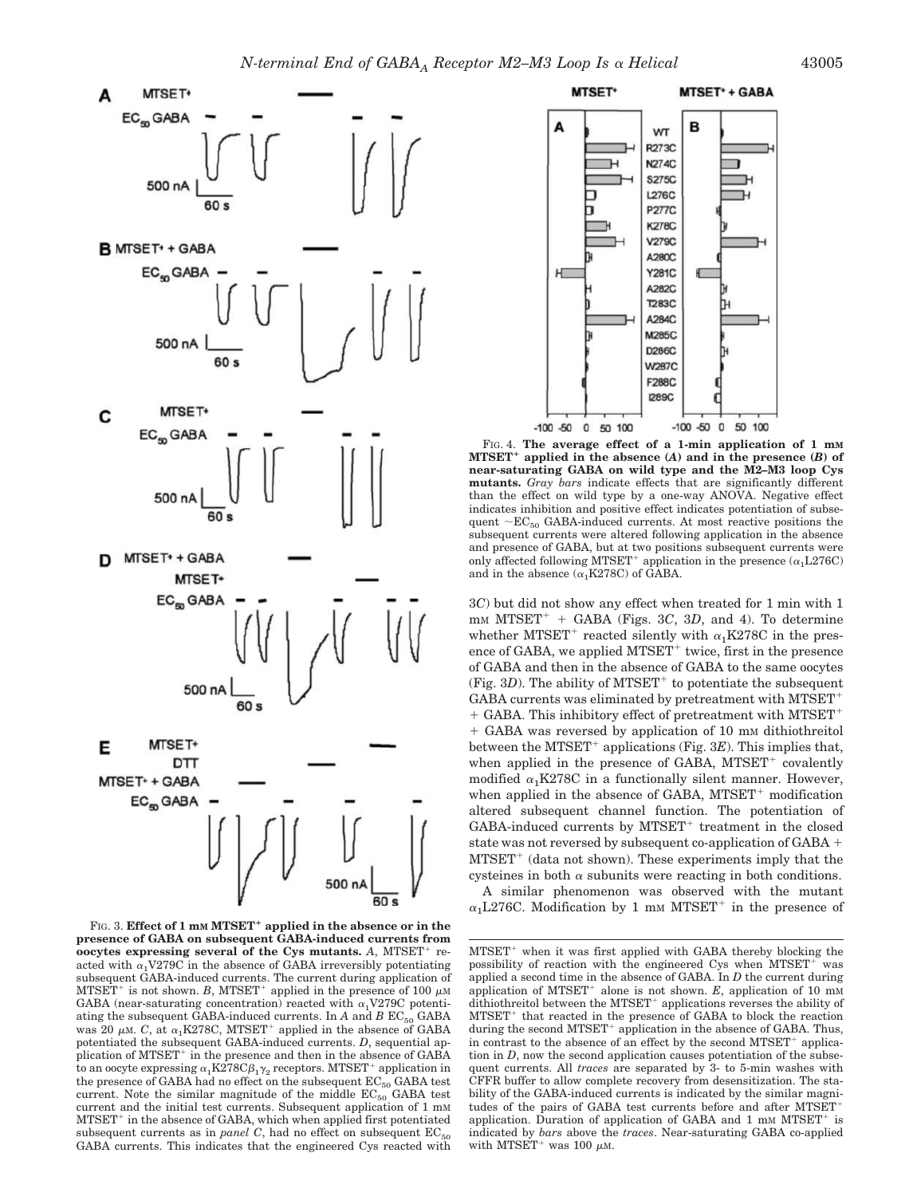

FIG. 3. **Effect of 1 m<sup>M</sup> MTSET applied in the absence or in the presence of GABA on subsequent GABA-induced currents from oocytes expressing several of the Cys mutants.** A, MTSET<sup>+</sup> reacted with  $\alpha_1$ V279C in the absence of GABA irreversibly potentiating subsequent GABA-induced currents. The current during application of MTSET<sup>+</sup> is not shown. *B*, MTSET<sup>+</sup> applied in the presence of 100  $\mu$ M GABA (near-saturating concentration) reacted with  $\alpha_1V279C$  potentiating the subsequent GABA-induced currents. In *A* and *B*  $EC_{50}$  GABA was 20  $\mu$ M. *C*, at  $\alpha_1$ K278C, MTSET<sup>+</sup> applied in the absence of GABA potentiated the subsequent GABA-induced currents. *D*, sequential application of MTSET<sup>+</sup> in the presence and then in the absence of GABA to an oocyte expressing  $\alpha_1$ K278C $\beta_1 \gamma_2$  receptors. MTSET<sup>+</sup> application in the presence of GABA had no effect on the subsequent  $\text{EC}_{50}$  GABA test current. Note the similar magnitude of the middle  $EC_{50}$  GABA test current and the initial test currents. Subsequent application of 1 mM MTSET<sup>+</sup> in the absence of GABA, which when applied first potentiated subsequent currents as in *panel*  $C$ , had no effect on subsequent  $EC_{50}$ GABA currents. This indicates that the engineered Cys reacted with



FIG. 4. **The average effect of a 1-min application of 1 mM MTSET applied in the absence (***A***) and in the presence (***B***) of near-saturating GABA on wild type and the M2–M3 loop Cys mutants.** *Gray bars* indicate effects that are significantly different than the effect on wild type by a one-way ANOVA. Negative effect indicates inhibition and positive effect indicates potentiation of subsequent  $\sim EC_{50}$  GABA-induced currents. At most reactive positions the subsequent currents were altered following application in the absence and presence of GABA, but at two positions subsequent currents were only affected following MTSET<sup>+</sup> application in the presence  $(\alpha_1 L276C)$ and in the absence  $(\alpha_1K278C)$  of GABA.

3*C*) but did not show any effect when treated for 1 min with 1 mM MTSET<sup>+</sup> + GABA (Figs. 3C, 3D, and 4). To determine whether MTSET<sup>+</sup> reacted silently with  $\alpha_1$ K278C in the presence of GABA, we applied  $MTSET^+$  twice, first in the presence of GABA and then in the absence of GABA to the same oocytes (Fig.  $3D$ ). The ability of MTSET<sup>+</sup> to potentiate the subsequent GABA currents was eliminated by pretreatment with MTSET-+ GABA. This inhibitory effect of pretreatment with MTSET<sup>+</sup> + GABA was reversed by application of 10 mm dithiothreitol between the MTSET<sup>+</sup> applications (Fig. 3E). This implies that, when applied in the presence of GABA, MTSET<sup>+</sup> covalently modified  $\alpha_1$ K278C in a functionally silent manner. However, when applied in the absence of GABA,  $MTSET^{+}$  modification altered subsequent channel function. The potentiation of GABA-induced currents by MTSET<sup>+</sup> treatment in the closed state was not reversed by subsequent co-application of GABA +  $MTSET^{+}$  (data not shown). These experiments imply that the cysteines in both  $\alpha$  subunits were reacting in both conditions.

A similar phenomenon was observed with the mutant  $\alpha_1$ L276C. Modification by 1 mm MTSET<sup>+</sup> in the presence of

MTSET<sup>+</sup> when it was first applied with GABA thereby blocking the possibility of reaction with the engineered Cys when MTSET<sup>+</sup> was applied a second time in the absence of GABA. In *D* the current during application of MTSET<sup>+</sup> alone is not shown.  $E$ , application of 10 mM dithiothreitol between the MTSET<sup>+</sup> applications reverses the ability of MTSET<sup>+</sup> that reacted in the presence of GABA to block the reaction during the second MTSET<sup>+</sup> application in the absence of GABA. Thus, in contrast to the absence of an effect by the second MTSET<sup>+</sup> application in *D*, now the second application causes potentiation of the subsequent currents. All *traces* are separated by 3- to 5-min washes with CFFR buffer to allow complete recovery from desensitization. The stability of the GABA-induced currents is indicated by the similar magnitudes of the pairs of GABA test currents before and after MTSETapplication. Duration of application of GABA and  $1 \text{ mm} \text{ MTSET}^+$  is indicated by *bars* above the *traces*. Near-saturating GABA co-applied with MTSET<sup>+</sup> was 100  $\mu$ M.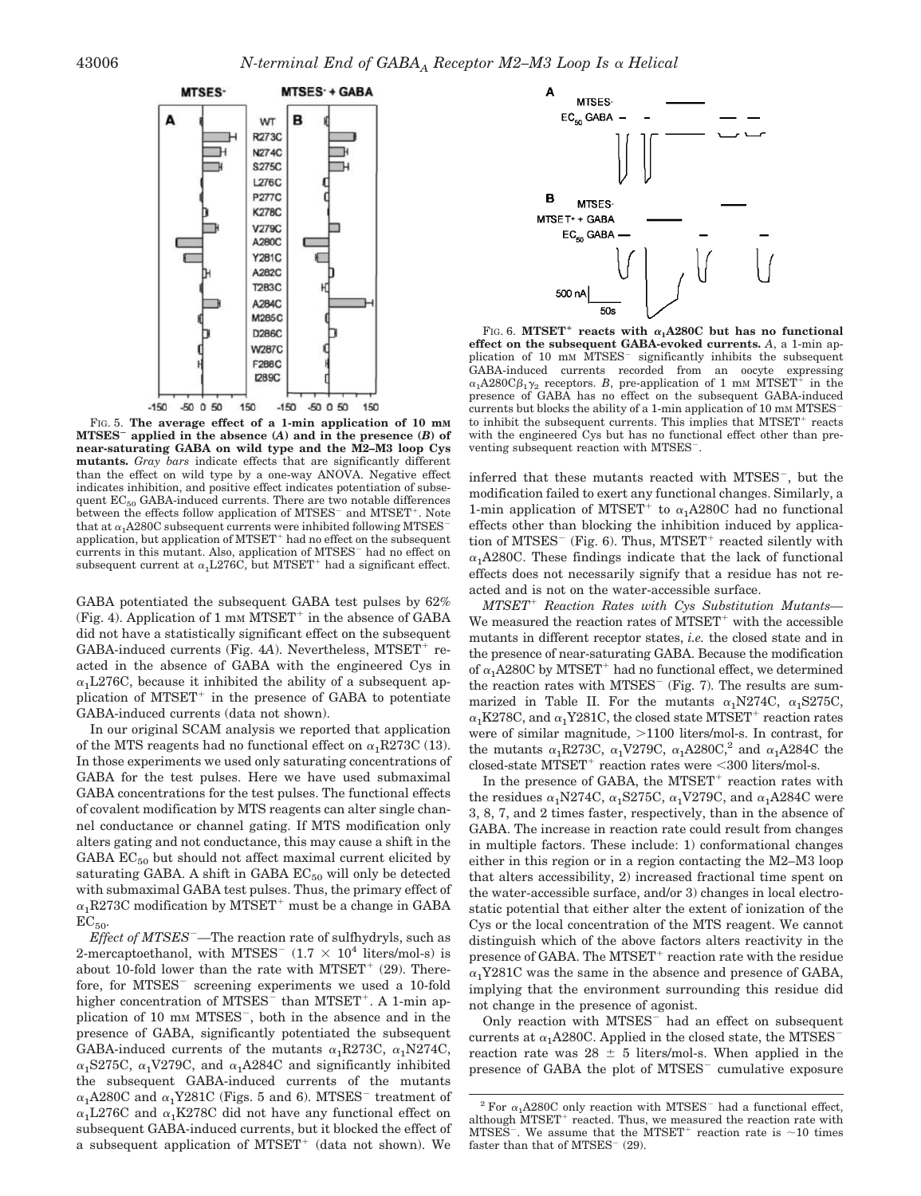

FIG. 5. **The average effect of a 1-min application of 10 mM MTSES applied in the absence (***A***) and in the presence (***B***) of near-saturating GABA on wild type and the M2–M3 loop Cys mutants.** *Gray bars* indicate effects that are significantly different than the effect on wild type by a one-way ANOVA. Negative effect indicates inhibition, and positive effect indicates potentiation of subsequent  $EC_{50}$  GABA-induced currents. There are two notable differences between the effects follow application of MTSES<sup>-</sup> and MTSET<sup>+</sup>. Note that at  $\alpha_1$ A280C subsequent currents were inhibited following MTSES application, but application of MTSET- had no effect on the subsequent currents in this mutant. Also, application of MTSES<sup>-</sup> had no effect on subsequent current at  $\alpha_1$  L276C, but MTSET<sup>+</sup> had a significant effect.

GABA potentiated the subsequent GABA test pulses by 62% (Fig. 4). Application of 1 mm  $MTSET^+$  in the absence of GABA did not have a statistically significant effect on the subsequent GABA-induced currents (Fig. 4A). Nevertheless, MTSET<sup>+</sup> reacted in the absence of GABA with the engineered Cys in  $\alpha_1$ L276C, because it inhibited the ability of a subsequent application of MTSET<sup>+</sup> in the presence of GABA to potentiate GABA-induced currents (data not shown).

In our original SCAM analysis we reported that application of the MTS reagents had no functional effect on  $\alpha_1R273C$  (13). In those experiments we used only saturating concentrations of GABA for the test pulses. Here we have used submaximal GABA concentrations for the test pulses. The functional effects of covalent modification by MTS reagents can alter single channel conductance or channel gating. If MTS modification only alters gating and not conductance, this may cause a shift in the GABA  $EC_{50}$  but should not affect maximal current elicited by saturating GABA. A shift in GABA  $EC_{50}$  will only be detected with submaximal GABA test pulses. Thus, the primary effect of  $\alpha_1$ R273C modification by MTSET<sup>+</sup> must be a change in GABA  $EC_{50}$ 

*Effect of MTSES—*The reaction rate of sulfhydryls, such as 2-mercaptoethanol, with MTSES<sup> $-$ </sup> (1.7  $\times$  10<sup>4</sup> liters/mol-s) is about 10-fold lower than the rate with MTSET<sup>+</sup> (29). Therefore, for MTSES<sup>-</sup> screening experiments we used a 10-fold higher concentration of MTSES<sup>-</sup> than MTSET<sup>+</sup>. A 1-min application of 10 mm MTSES<sup>-</sup>, both in the absence and in the presence of GABA, significantly potentiated the subsequent GABA-induced currents of the mutants  $\alpha_1R273C$ ,  $\alpha_1N274C$ ,  $\alpha_1$ S275C,  $\alpha_1$ V279C, and  $\alpha_1$ A284C and significantly inhibited the subsequent GABA-induced currents of the mutants  $\alpha_1$ A280C and  $\alpha_1$ Y281C (Figs. 5 and 6). MTSES<sup>-</sup> treatment of  $\alpha_1$ L276C and  $\alpha_1$ K278C did not have any functional effect on subsequent GABA-induced currents, but it blocked the effect of a subsequent application of  $MTSET^+$  (data not shown). We



FIG. 6. MTSET<sup>+</sup> reacts with  $\alpha_1$ A280C but has no functional **effect on the subsequent GABA-evoked currents.** *A*, a 1-min application of 10 mm MTSES<sup>-</sup> significantly inhibits the subsequent GABA-induced currents recorded from an oocyte expressing  $\alpha_1$ A280C $\beta_1$ <sub>2</sub> receptors. *B*, pre-application of 1 mm MTSET<sup>+</sup> in the presence of GABA has no effect on the subsequent GABA-induced currents but blocks the ability of a 1-min application of 10 mm MTSES to inhibit the subsequent currents. This implies that MTSET<sup>+</sup> reacts with the engineered Cys but has no functional effect other than preventing subsequent reaction with MTSES .

inferred that these mutants reacted with MTSES , but the modification failed to exert any functional changes. Similarly, a 1-min application of MTSET<sup>+</sup> to  $\alpha_1$ A280C had no functional effects other than blocking the inhibition induced by application of MTSES<sup> $-$ </sup> (Fig. 6). Thus, MTSET<sup>+</sup> reacted silently with  $\alpha_1A280C$ . These findings indicate that the lack of functional effects does not necessarily signify that a residue has not reacted and is not on the water-accessible surface.

*MTSET*- *Reaction Rates with Cys Substitution Mutants—* We measured the reaction rates of  $\text{MTSET}^+$  with the accessible mutants in different receptor states, *i.e.* the closed state and in the presence of near-saturating GABA. Because the modification of  $\alpha_1$ A280C by MTSET<sup>+</sup> had no functional effect, we determined the reaction rates with MTSES (Fig. 7). The results are summarized in Table II. For the mutants  $\alpha_1$ N274C,  $\alpha_1$ S275C,  $\alpha_1$ K278C, and  $\alpha_1$ Y281C, the closed state MTSET<sup>+</sup> reaction rates were of similar magnitude,  $>1100$  liters/mol-s. In contrast, for the mutants  $\alpha_1$ R273C,  $\alpha_1$ V279C,  $\alpha_1$ A280C,<sup>2</sup> and  $\alpha_1$ A284C the  $R_{\text{closed-state}}$   $\text{MTSET}^+$  reaction rates were <300 liters/mol-s.

In the presence of GABA, the MTSET<sup>+</sup> reaction rates with the residues  $\alpha_1$ N274C,  $\alpha_1$ S275C,  $\alpha_1$ V279C, and  $\alpha_1$ A284C were 3, 8, 7, and 2 times faster, respectively, than in the absence of GABA. The increase in reaction rate could result from changes in multiple factors. These include: 1) conformational changes either in this region or in a region contacting the M2–M3 loop that alters accessibility, 2) increased fractional time spent on the water-accessible surface, and/or 3) changes in local electrostatic potential that either alter the extent of ionization of the Cys or the local concentration of the MTS reagent. We cannot distinguish which of the above factors alters reactivity in the presence of GABA. The MTSET<sup>+</sup> reaction rate with the residue  $\alpha_1$ Y281C was the same in the absence and presence of GABA, implying that the environment surrounding this residue did not change in the presence of agonist.

Only reaction with MTSES<sup>-</sup> had an effect on subsequent currents at  $\alpha_1$ A280C. Applied in the closed state, the MTSES reaction rate was  $28 \pm 5$  liters/mol-s. When applied in the presence of GABA the plot of MTSES cumulative exposure

 $2$  For  $\alpha_1$ A280C only reaction with MTSES<sup>-</sup> had a functional effect, although MTSET<sup>+</sup> reacted. Thus, we measured the reaction rate with MTSES<sup>-</sup>. We assume that the MTSET<sup>+</sup> reaction rate is  $\sim$ 10 times faster than that of MTSES<sup>-</sup> (29).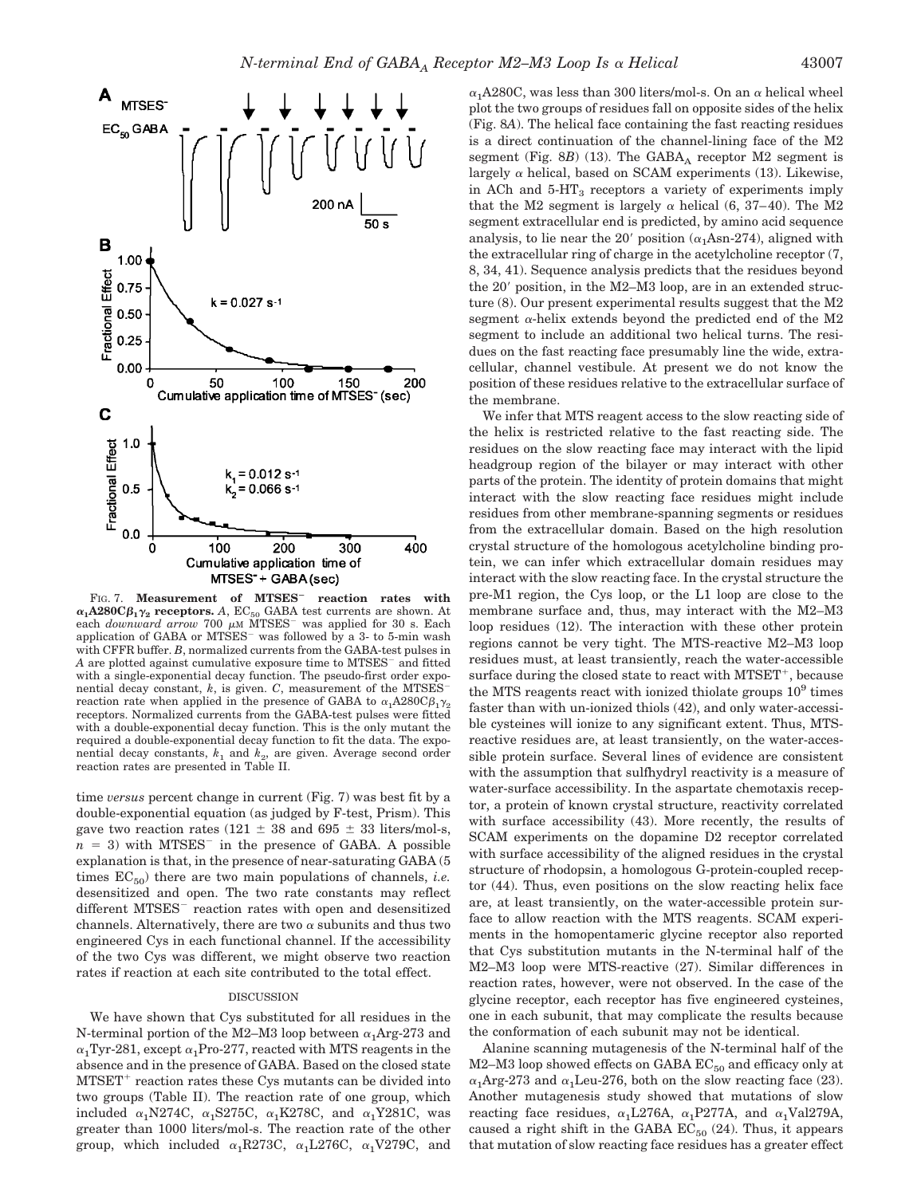

FIG. 7. **Measurement of MTSES reaction rates with**  $\alpha_1$ **A280C** $\beta_1 \gamma_2$  **receptors.**  $A$ , EC $_{50}$  GABA test currents are shown. At each *downward arrow* 700  $\mu$ M MTSES<sup>-</sup> was applied for 30 s. Each application of GABA or MTSES<sup>-</sup> was followed by a 3- to 5-min wash with CFFR buffer. *B*, normalized currents from the GABA-test pulses in A are plotted against cumulative exposure time to MTSES<sup>-</sup> and fitted with a single-exponential decay function. The pseudo-first order exponential decay constant, *k*, is given. *C*, measurement of the MTSES reaction rate when applied in the presence of GABA to  $\alpha_1A280C\beta_1\gamma_2$ receptors. Normalized currents from the GABA-test pulses were fitted with a double-exponential decay function. This is the only mutant the required a double-exponential decay function to fit the data. The exponential decay constants,  $k_1$  and  $k_2$ , are given. Average second order reaction rates are presented in Table II.

time *versus* percent change in current (Fig. 7) was best fit by a double-exponential equation (as judged by F-test, Prism). This gave two reaction rates (121  $\pm$  38 and 695  $\pm$  33 liters/mol-s,  $n = 3$ ) with MTSES<sup>-</sup> in the presence of GABA. A possible explanation is that, in the presence of near-saturating GABA (5 times  $EC_{50}$  there are two main populations of channels, *i.e.* desensitized and open. The two rate constants may reflect different MTSES<sup>-</sup> reaction rates with open and desensitized channels. Alternatively, there are two  $\alpha$  subunits and thus two engineered Cys in each functional channel. If the accessibility of the two Cys was different, we might observe two reaction rates if reaction at each site contributed to the total effect.

### DISCUSSION

We have shown that Cys substituted for all residues in the N-terminal portion of the M2–M3 loop between  $\alpha_1$ Arg-273 and  $\alpha_1$ Tyr-281, except  $\alpha_1$ Pro-277, reacted with MTS reagents in the absence and in the presence of GABA. Based on the closed state MTSET<sup>+</sup> reaction rates these Cys mutants can be divided into two groups (Table II). The reaction rate of one group, which included  $\alpha_1$ N274C,  $\alpha_1$ S275C,  $\alpha_1$ K278C, and  $\alpha_1$ Y281C, was greater than 1000 liters/mol-s. The reaction rate of the other group, which included  $\alpha_1R273C$ ,  $\alpha_1L276C$ ,  $\alpha_1V279C$ , and  $\alpha_1$ A280C, was less than 300 liters/mol-s. On an  $\alpha$  helical wheel plot the two groups of residues fall on opposite sides of the helix (Fig. 8*A*). The helical face containing the fast reacting residues is a direct continuation of the channel-lining face of the M2  $segment$  (Fig.  $8B$ ) (13). The  $GABA_A$  receptor  $M2$  segment is largely  $\alpha$  helical, based on SCAM experiments (13). Likewise, in ACh and  $5-\text{HT}_3$  receptors a variety of experiments imply that the M2 segment is largely  $\alpha$  helical (6, 37–40). The M2 segment extracellular end is predicted, by amino acid sequence analysis, to lie near the 20' position  $(\alpha_1 A \text{sn-} 274)$ , aligned with the extracellular ring of charge in the acetylcholine receptor (7, 8, 34, 41). Sequence analysis predicts that the residues beyond the  $20'$  position, in the M2–M3 loop, are in an extended structure (8). Our present experimental results suggest that the M2 segment  $\alpha$ -helix extends beyond the predicted end of the M2 segment to include an additional two helical turns. The residues on the fast reacting face presumably line the wide, extracellular, channel vestibule. At present we do not know the position of these residues relative to the extracellular surface of the membrane.

We infer that MTS reagent access to the slow reacting side of the helix is restricted relative to the fast reacting side. The residues on the slow reacting face may interact with the lipid headgroup region of the bilayer or may interact with other parts of the protein. The identity of protein domains that might interact with the slow reacting face residues might include residues from other membrane-spanning segments or residues from the extracellular domain. Based on the high resolution crystal structure of the homologous acetylcholine binding protein, we can infer which extracellular domain residues may interact with the slow reacting face. In the crystal structure the pre-M1 region, the Cys loop, or the L1 loop are close to the membrane surface and, thus, may interact with the M2–M3 loop residues (12). The interaction with these other protein regions cannot be very tight. The MTS-reactive M2–M3 loop residues must, at least transiently, reach the water-accessible surface during the closed state to react with MTSET<sup>+</sup>, because the MTS reagents react with ionized thiolate groups  $10^9$  times faster than with un-ionized thiols (42), and only water-accessible cysteines will ionize to any significant extent. Thus, MTSreactive residues are, at least transiently, on the water-accessible protein surface. Several lines of evidence are consistent with the assumption that sulfhydryl reactivity is a measure of water-surface accessibility. In the aspartate chemotaxis receptor, a protein of known crystal structure, reactivity correlated with surface accessibility (43). More recently, the results of SCAM experiments on the dopamine D2 receptor correlated with surface accessibility of the aligned residues in the crystal structure of rhodopsin, a homologous G-protein-coupled receptor (44). Thus, even positions on the slow reacting helix face are, at least transiently, on the water-accessible protein surface to allow reaction with the MTS reagents. SCAM experiments in the homopentameric glycine receptor also reported that Cys substitution mutants in the N-terminal half of the M2–M3 loop were MTS-reactive (27). Similar differences in reaction rates, however, were not observed. In the case of the glycine receptor, each receptor has five engineered cysteines, one in each subunit, that may complicate the results because the conformation of each subunit may not be identical.

Alanine scanning mutagenesis of the N-terminal half of the  $M2-M3$  loop showed effects on GABA  $EC_{50}$  and efficacy only at  $\alpha_1$ Arg-273 and  $\alpha_1$ Leu-276, both on the slow reacting face (23). Another mutagenesis study showed that mutations of slow reacting face residues,  $\alpha_1$ L276A,  $\alpha_1$ P277A, and  $\alpha_1$ Val279A, caused a right shift in the GABA  $EC_{50}$  (24). Thus, it appears that mutation of slow reacting face residues has a greater effect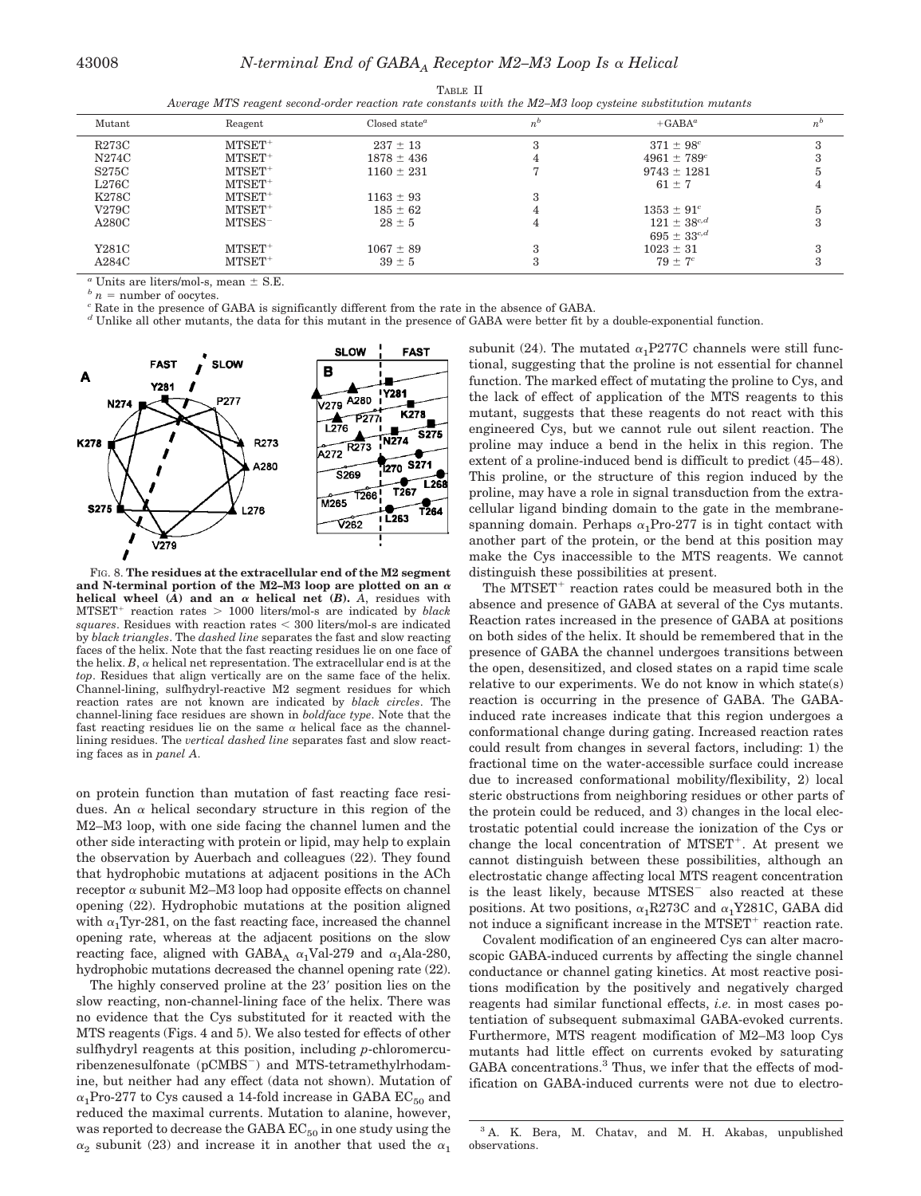| Mutant       | Reagent   | Closed state <sup><math>a</math></sup> | $n^{\circ}$ | $+GABA^a$          | $n^b$ |  |  |
|--------------|-----------|----------------------------------------|-------------|--------------------|-------|--|--|
| <b>R273C</b> | $MTSET+$  | $237 \pm 13$                           |             | $371 \pm 98^c$     |       |  |  |
| N274C        | $MTSET+$  | $1878 \pm 436$                         | 4           | $4961 \pm 789^c$   |       |  |  |
| S275C        | $MTSET+$  | $1160 \pm 231$                         |             | $9743 \pm 1281$    |       |  |  |
| L276C        | $MTSET+$  |                                        |             | $61 \pm 7$         |       |  |  |
| K278C        | $MTSET+$  | $1163 \pm 93$                          | З           |                    |       |  |  |
| V279C        | $MTSET+$  | $185 \pm 62$                           |             | $1353 \pm 91^c$    |       |  |  |
| A280C        | $MTSES^-$ | $28 \pm 5$                             | 4           | $121 \pm 38^{c,d}$ | 3     |  |  |
|              |           |                                        |             | $695 \pm 33^{c,d}$ |       |  |  |
| Y281C        | $MTSET+$  | $1067 \pm 89$                          | $\Omega$    | $1023 \pm 31$      |       |  |  |
| A284C        | $MTSET+$  | $39 \pm 5$                             | 3           | $79 \pm 7^c$       |       |  |  |
|              |           |                                        |             |                    |       |  |  |

TABLE II *Average MTS reagent second-order reaction rate constants with the M2–M3 loop cysteine substitution mutants*

 $a$  Units are liters/mol-s, mean  $\pm$  S.E.

 *<i>n* = number of oocytes.

*<sup>c</sup>* Rate in the presence of GABA is significantly different from the rate in the absence of GABA.

*<sup>d</sup>* Unlike all other mutants, the data for this mutant in the presence of GABA were better fit by a double-exponential function.



FIG. 8. **The residues at the extracellular end of the M2 segment** and N-terminal portion of the M2–M3 loop are plotted on an  $\alpha$ **helical wheel**  $(A)$  and an  $\alpha$  **helical net**  $(B)$ .  $\hat{A}$ , residues with  $MTSET^+$ reaction rates 1000 liters/mol-s are indicated by *black squares*. Residues with reaction rates 300 liters/mol-s are indicated by *black triangles*. The *dashed line* separates the fast and slow reacting faces of the helix. Note that the fast reacting residues lie on one face of the helix.  $B$ ,  $\alpha$  helical net representation. The extracellular end is at the *top*. Residues that align vertically are on the same face of the helix. Channel-lining, sulfhydryl-reactive M2 segment residues for which reaction rates are not known are indicated by *black circles*. The channel-lining face residues are shown in *boldface type*. Note that the fast reacting residues lie on the same  $\alpha$  helical face as the channellining residues. The *vertical dashed line* separates fast and slow reacting faces as in *panel A*.

on protein function than mutation of fast reacting face residues. An  $\alpha$  helical secondary structure in this region of the M2–M3 loop, with one side facing the channel lumen and the other side interacting with protein or lipid, may help to explain the observation by Auerbach and colleagues (22). They found that hydrophobic mutations at adjacent positions in the ACh receptor  $\alpha$  subunit M2–M3 loop had opposite effects on channel opening (22). Hydrophobic mutations at the position aligned with  $\alpha_1$ Tyr-281, on the fast reacting face, increased the channel opening rate, whereas at the adjacent positions on the slow reacting face, aligned with GABA<sub>A</sub>  $\alpha_1$ Val-279 and  $\alpha_1$ Ala-280, hydrophobic mutations decreased the channel opening rate (22).

The highly conserved proline at the 23' position lies on the slow reacting, non-channel-lining face of the helix. There was no evidence that the Cys substituted for it reacted with the MTS reagents (Figs. 4 and 5). We also tested for effects of other sulfhydryl reagents at this position, including *p*-chloromercuribenzenesulfonate (pCMBS ) and MTS-tetramethylrhodamine, but neither had any effect (data not shown). Mutation of  $\alpha_1$ Pro-277 to Cys caused a 14-fold increase in GABA EC<sub>50</sub> and reduced the maximal currents. Mutation to alanine, however, was reported to decrease the GABA  $EC_{50}$  in one study using the  $\alpha_2$  subunit (23) and increase it in another that used the  $\alpha_1$  subunit (24). The mutated  $\alpha_1$ P277C channels were still functional, suggesting that the proline is not essential for channel function. The marked effect of mutating the proline to Cys, and the lack of effect of application of the MTS reagents to this mutant, suggests that these reagents do not react with this engineered Cys, but we cannot rule out silent reaction. The proline may induce a bend in the helix in this region. The extent of a proline-induced bend is difficult to predict (45–48). This proline, or the structure of this region induced by the proline, may have a role in signal transduction from the extracellular ligand binding domain to the gate in the membranespanning domain. Perhaps  $\alpha_1$ Pro-277 is in tight contact with another part of the protein, or the bend at this position may make the Cys inaccessible to the MTS reagents. We cannot distinguish these possibilities at present.

The MTSET<sup>+</sup> reaction rates could be measured both in the absence and presence of GABA at several of the Cys mutants. Reaction rates increased in the presence of GABA at positions on both sides of the helix. It should be remembered that in the presence of GABA the channel undergoes transitions between the open, desensitized, and closed states on a rapid time scale relative to our experiments. We do not know in which state(s) reaction is occurring in the presence of GABA. The GABAinduced rate increases indicate that this region undergoes a conformational change during gating. Increased reaction rates could result from changes in several factors, including: 1) the fractional time on the water-accessible surface could increase due to increased conformational mobility/flexibility, 2) local steric obstructions from neighboring residues or other parts of the protein could be reduced, and 3) changes in the local electrostatic potential could increase the ionization of the Cys or change the local concentration of MTSET<sup>+</sup>. At present we cannot distinguish between these possibilities, although an electrostatic change affecting local MTS reagent concentration is the least likely, because MTSES also reacted at these positions. At two positions,  $\alpha_1$ R273C and  $\alpha_1$ Y281C, GABA did not induce a significant increase in the MTSET<sup>+</sup> reaction rate.

Covalent modification of an engineered Cys can alter macroscopic GABA-induced currents by affecting the single channel conductance or channel gating kinetics. At most reactive positions modification by the positively and negatively charged reagents had similar functional effects, *i.e.* in most cases potentiation of subsequent submaximal GABA-evoked currents. Furthermore, MTS reagent modification of M2–M3 loop Cys mutants had little effect on currents evoked by saturating GABA concentrations.<sup>3</sup> Thus, we infer that the effects of modification on GABA-induced currents were not due to electro-

<sup>3</sup> A. K. Bera, M. Chatav, and M. H. Akabas, unpublished observations.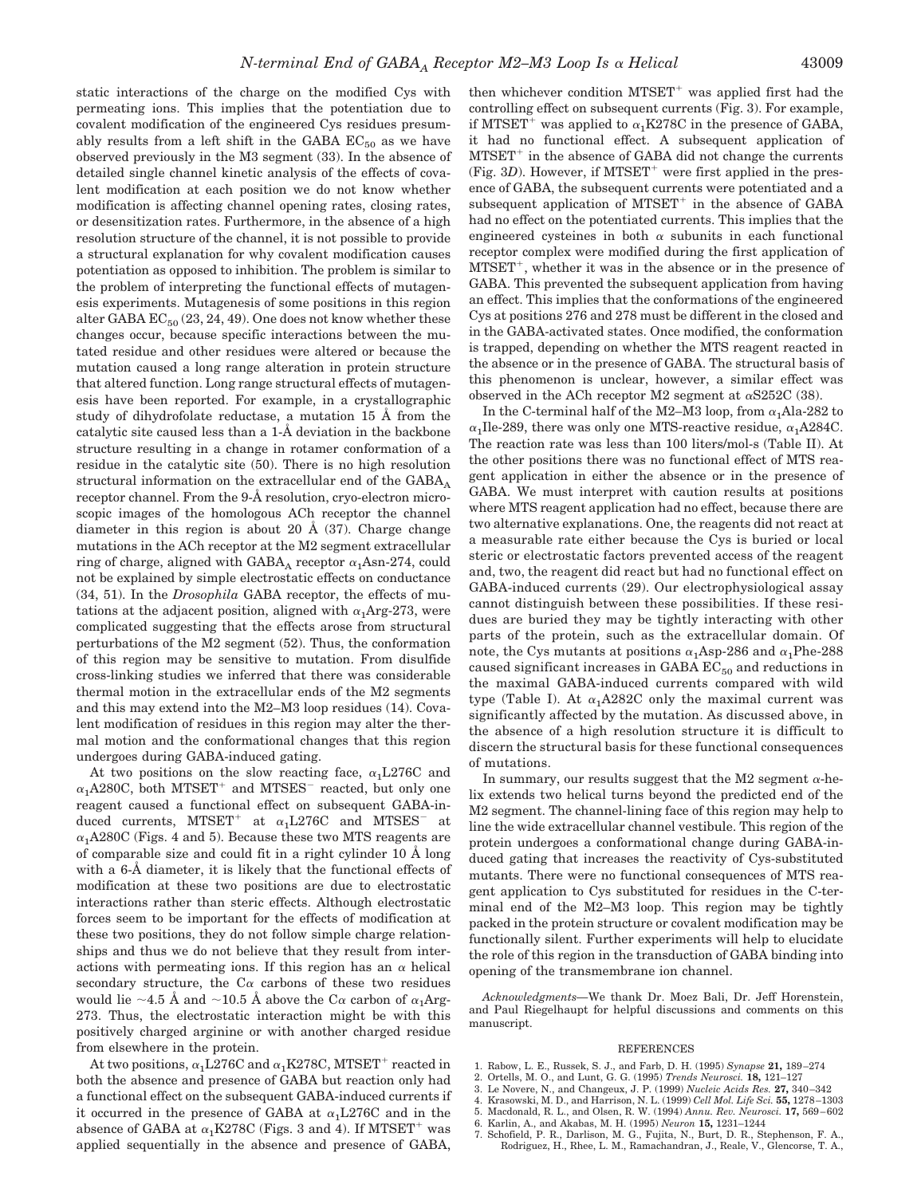static interactions of the charge on the modified Cys with permeating ions. This implies that the potentiation due to covalent modification of the engineered Cys residues presumably results from a left shift in the GABA  $EC_{50}$  as we have observed previously in the M3 segment (33). In the absence of detailed single channel kinetic analysis of the effects of covalent modification at each position we do not know whether modification is affecting channel opening rates, closing rates, or desensitization rates. Furthermore, in the absence of a high resolution structure of the channel, it is not possible to provide a structural explanation for why covalent modification causes potentiation as opposed to inhibition. The problem is similar to the problem of interpreting the functional effects of mutagenesis experiments. Mutagenesis of some positions in this region alter GABA  $EC_{50}$  (23, 24, 49). One does not know whether these changes occur, because specific interactions between the mutated residue and other residues were altered or because the mutation caused a long range alteration in protein structure that altered function. Long range structural effects of mutagenesis have been reported. For example, in a crystallographic study of dihydrofolate reductase, a mutation 15 Å from the catalytic site caused less than a 1-Å deviation in the backbone structure resulting in a change in rotamer conformation of a residue in the catalytic site (50). There is no high resolution structural information on the extracellular end of the  $GABA_A$ receptor channel. From the 9-Å resolution, cryo-electron microscopic images of the homologous ACh receptor the channel diameter in this region is about 20  $\AA$  (37). Charge change mutations in the ACh receptor at the M2 segment extracellular ring of charge, aligned with  $\rm{GABA}_A$  receptor  $\alpha_1\rm{Asn-274},$  could not be explained by simple electrostatic effects on conductance (34, 51). In the *Drosophila* GABA receptor, the effects of mutations at the adjacent position, aligned with  $\alpha_1$ Arg-273, were complicated suggesting that the effects arose from structural perturbations of the M2 segment (52). Thus, the conformation of this region may be sensitive to mutation. From disulfide cross-linking studies we inferred that there was considerable thermal motion in the extracellular ends of the M2 segments and this may extend into the M2–M3 loop residues (14). Covalent modification of residues in this region may alter the thermal motion and the conformational changes that this region undergoes during GABA-induced gating.

At two positions on the slow reacting face,  $\alpha_1$ L276C and  $\alpha_1$ A280C, both MTSET<sup>+</sup> and MTSES<sup>-</sup> reacted, but only one reagent caused a functional effect on subsequent GABA-induced currents, MTSET<sup>+</sup> at  $\alpha_1$ L276C and MTSES<sup>-</sup> at  $\alpha_1A280C$  (Figs. 4 and 5). Because these two MTS reagents are of comparable size and could fit in a right cylinder 10 Å long with a 6-Å diameter, it is likely that the functional effects of modification at these two positions are due to electrostatic interactions rather than steric effects. Although electrostatic forces seem to be important for the effects of modification at these two positions, they do not follow simple charge relationships and thus we do not believe that they result from interactions with permeating ions. If this region has an  $\alpha$  helical secondary structure, the C $\alpha$  carbons of these two residues would lie  $\sim$ 4.5 Å and  $\sim$ 10.5 Å above the C $\alpha$  carbon of  $\alpha_1$ Arg-273. Thus, the electrostatic interaction might be with this positively charged arginine or with another charged residue from elsewhere in the protein.

At two positions,  $\alpha_1$ L276C and  $\alpha_1$ K278C, MTSET<sup>+</sup> reacted in both the absence and presence of GABA but reaction only had a functional effect on the subsequent GABA-induced currents if it occurred in the presence of GABA at  $\alpha_1$ L276C and in the absence of GABA at  $\alpha_1$ K278C (Figs. 3 and 4). If MTSET<sup>+</sup> was applied sequentially in the absence and presence of GABA,

then whichever condition MTSET<sup>+</sup> was applied first had the controlling effect on subsequent currents (Fig. 3). For example, if MTSET<sup>+</sup> was applied to  $\alpha_1$ K278C in the presence of GABA, it had no functional effect. A subsequent application of MTSET<sup>+</sup> in the absence of GABA did not change the currents (Fig. 3D). However, if MTSET<sup>+</sup> were first applied in the presence of GABA, the subsequent currents were potentiated and a subsequent application of MTSET<sup>+</sup> in the absence of GABA had no effect on the potentiated currents. This implies that the engineered cysteines in both  $\alpha$  subunits in each functional receptor complex were modified during the first application of MTSET<sup>+</sup>, whether it was in the absence or in the presence of GABA. This prevented the subsequent application from having an effect. This implies that the conformations of the engineered Cys at positions 276 and 278 must be different in the closed and in the GABA-activated states. Once modified, the conformation is trapped, depending on whether the MTS reagent reacted in the absence or in the presence of GABA. The structural basis of this phenomenon is unclear, however, a similar effect was observed in the ACh receptor M2 segment at  $\alpha$ S252C (38).

In the C-terminal half of the M2–M3 loop, from  $\alpha_1$ Ala-282 to  $\alpha_1$ Ile-289, there was only one MTS-reactive residue,  $\alpha_1$ A284C. The reaction rate was less than 100 liters/mol-s (Table II). At the other positions there was no functional effect of MTS reagent application in either the absence or in the presence of GABA. We must interpret with caution results at positions where MTS reagent application had no effect, because there are two alternative explanations. One, the reagents did not react at a measurable rate either because the Cys is buried or local steric or electrostatic factors prevented access of the reagent and, two, the reagent did react but had no functional effect on GABA-induced currents (29). Our electrophysiological assay cannot distinguish between these possibilities. If these residues are buried they may be tightly interacting with other parts of the protein, such as the extracellular domain. Of note, the Cys mutants at positions  $\alpha_1$ Asp-286 and  $\alpha_1$ Phe-288 caused significant increases in GABA  $EC_{50}$  and reductions in the maximal GABA-induced currents compared with wild type (Table I). At  $\alpha_1A282C$  only the maximal current was significantly affected by the mutation. As discussed above, in the absence of a high resolution structure it is difficult to discern the structural basis for these functional consequences of mutations.

In summary, our results suggest that the M2 segment  $\alpha$ -helix extends two helical turns beyond the predicted end of the M2 segment. The channel-lining face of this region may help to line the wide extracellular channel vestibule. This region of the protein undergoes a conformational change during GABA-induced gating that increases the reactivity of Cys-substituted mutants. There were no functional consequences of MTS reagent application to Cys substituted for residues in the C-terminal end of the M2–M3 loop. This region may be tightly packed in the protein structure or covalent modification may be functionally silent. Further experiments will help to elucidate the role of this region in the transduction of GABA binding into opening of the transmembrane ion channel.

*Acknowledgments—*We thank Dr. Moez Bali, Dr. Jeff Horenstein, and Paul Riegelhaupt for helpful discussions and comments on this manuscript.

#### **REFERENCES**

- 1. Rabow, L. E., Russek, S. J., and Farb, D. H. (1995) *Synapse* **21,** 189–274
- 2. Ortells, M. O., and Lunt, G. G. (1995) *Trends Neurosci.* **18,** 121–127
- 3. Le Novere, N., and Changeux, J. P. (1999) *Nucleic Acids Res.* **27,** 340–342
- 4. Krasowski, M. D., and Harrison, N. L. (1999) *Cell Mol. Life Sci.* **55,** 1278–1303
- 5. Macdonald, R. L., and Olsen, R. W. (1994) *Annu. Rev. Neurosci.* **17,** 569–602
- 6. Karlin, A., and Akabas, M. H. (1995) *Neuron* **15,** 1231–1244
- 7. Schofield, P. R., Darlison, M. G., Fujita, N., Burt, D. R., Stephenson, F. A., Rodriguez, H., Rhee, L. M., Ramachandran, J., Reale, V., Glencorse, T. A.,